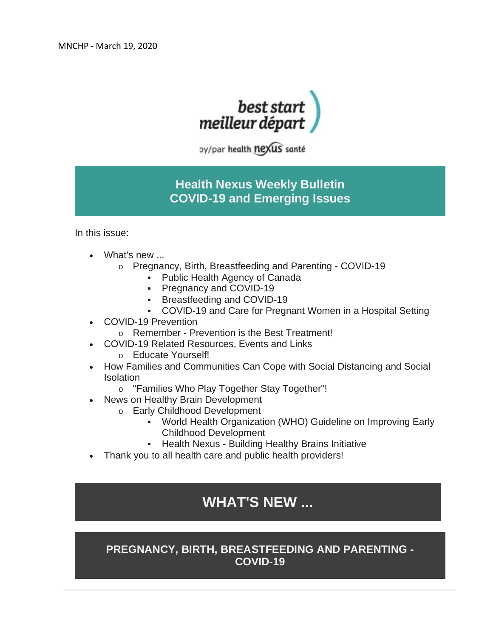

by/par health nexus santé

# **Health Nexus Weekly Bulletin COVID-19 and Emerging Issues**

In this issue:

- What's new ...
	- o Pregnancy, Birth, Breastfeeding and Parenting COVID-19
		- Public Health Agency of Canada
		- **Pregnancy and COVID-19**
		- **Breastfeeding and COVID-19**
		- COVID-19 and Care for Pregnant Women in a Hospital Setting
- COVID-19 Prevention
	- o Remember Prevention is the Best Treatment!
- COVID-19 Related Resources, Events and Links o Educate Yourself!
- How Families and Communities Can Cope with Social Distancing and Social **Isolation** 
	- o "Families Who Play Together Stay Together"!
- News on Healthy Brain Development
	- o Early Childhood Development
		- World Health Organization (WHO) Guideline on Improving Early Childhood Development
		- **Health Nexus Building Healthy Brains Initiative**
- Thank you to all health care and public health providers!

# **WHAT'S NEW ...**

## **PREGNANCY, BIRTH, BREASTFEEDING AND PARENTING - COVID-19**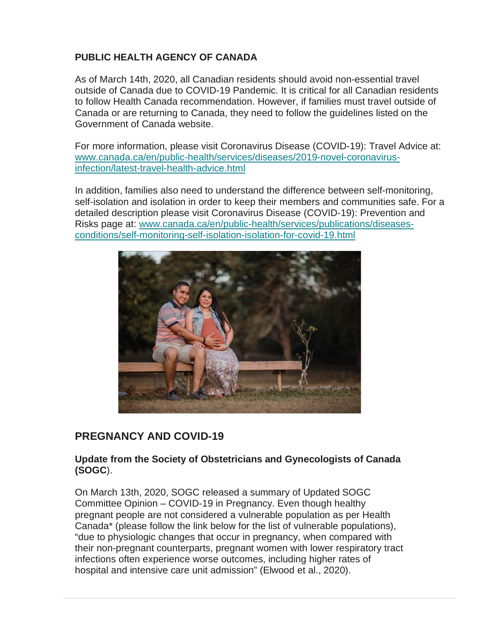## **PUBLIC HEALTH AGENCY OF CANADA**

As of March 14th, 2020, all Canadian residents should avoid non-essential travel outside of Canada due to COVID-19 Pandemic. It is critical for all Canadian residents to follow Health Canada recommendation. However, if families must travel outside of Canada or are returning to Canada, they need to follow the guidelines listed on the Government of Canada website.

For more information, please visit Coronavirus Disease (COVID-19): Travel Advice at: [www.canada.ca/en/public-health/services/diseases/2019-novel-coronavirus](http://www.canada.ca/en/public-health/services/diseases/2019-novel-coronavirus-infection/latest-travel-health-advice.html)[infection/latest-travel-health-advice.html](http://www.canada.ca/en/public-health/services/diseases/2019-novel-coronavirus-infection/latest-travel-health-advice.html) 

In addition, families also need to understand the difference between self-monitoring, self-isolation and isolation in order to keep their members and communities safe. For a detailed description please visit Coronavirus Disease (COVID-19): Prevention and Risks page at: [w](http://www.canada.ca/en/public-health/services/publications/diseases-conditions/self-monitoring-self-isolation-isolation-for-covid-19.html)[ww.canada.ca/en/public-health/services/publications/diseases](http://ww.canada.ca/en/public-health/services/publications/diseases-conditions/self-monitoring-self-isolation-isolation-for-covid-19.html)[conditions/self-monitoring-self-isolation-isolation-for-covid-19.html](http://ww.canada.ca/en/public-health/services/publications/diseases-conditions/self-monitoring-self-isolation-isolation-for-covid-19.html)



## **PREGNANCY AND COVID-19**

#### **Update from the Society of Obstetricians and Gynecologists of Canada (SOGC**).

On March 13th, 2020, SOGC released a summary of Updated SOGC Committee Opinion – COVID-19 in Pregnancy. Even though healthy pregnant people are not considered a vulnerable population as per Health Canada\* (please follow the link below for the list of vulnerable populations), "due to physiologic changes that occur in pregnancy, when compared with their non-pregnant counterparts, pregnant women with lower respiratory tract infections often experience worse outcomes, including higher rates of hospital and intensive care unit admission" (Elwood et al., 2020).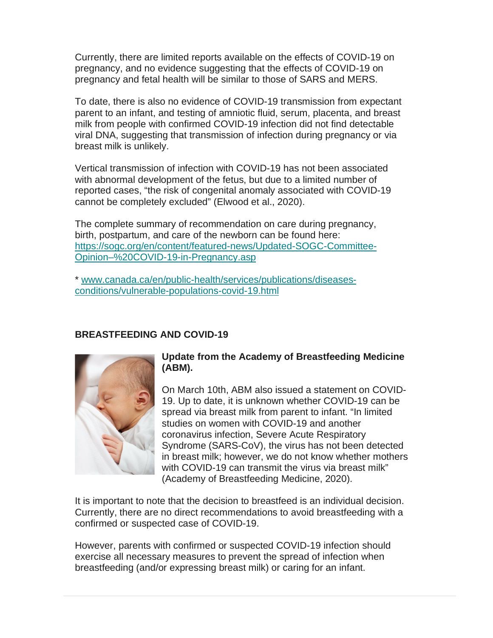Currently, there are limited reports available on the effects of COVID-19 on pregnancy, and no evidence suggesting that the effects of COVID-19 on pregnancy and fetal health will be similar to those of SARS and MERS.

To date, there is also no evidence of COVID-19 transmission from expectant parent to an infant, and testing of amniotic fluid, serum, placenta, and breast milk from people with confirmed COVID-19 infection did not find detectable viral DNA, suggesting that transmission of infection during pregnancy or via breast milk is unlikely.

Vertical transmission of infection with COVID-19 has not been associated with abnormal development of the fetus, but due to a limited number of reported cases, "the risk of congenital anomaly associated with COVID-19 cannot be completely excluded" (Elwood et al., 2020).

The complete summary of recommendation on care during pregnancy, birth, postpartum, and care of the newborn can be found here: [https://sogc.org/en/content/featured-news/Updated-SOGC-Committee-](https://sogc.org/en/content/featured-news/Updated-SOGC-Committee-Opinion%E2%80%93%20COVID-19-in-Pregnancy.asp)[Opinion–%20COVID-19-in-Pregnancy.asp](https://sogc.org/en/content/featured-news/Updated-SOGC-Committee-Opinion%E2%80%93%20COVID-19-in-Pregnancy.asp)

\* [www.canada.ca/en/public-health/services/publications/diseases](http://www.canada.ca/en/public-health/services/publications/diseases-conditions/vulnerable-populations-covid-19.html)[conditions/vulnerable-populations-covid-19.html](http://www.canada.ca/en/public-health/services/publications/diseases-conditions/vulnerable-populations-covid-19.html)

## **BREASTFEEDING AND COVID-19**



### **Update from the Academy of Breastfeeding Medicine (ABM).**

On March 10th, ABM also issued a statement on COVID-19. Up to date, it is unknown whether COVID-19 can be spread via breast milk from parent to infant. "In limited studies on women with COVID-19 and another coronavirus infection, Severe Acute Respiratory Syndrome (SARS-CoV), the virus has not been detected in breast milk; however, we do not know whether mothers with COVID-19 can transmit the virus via breast milk" (Academy of Breastfeeding Medicine, 2020).

It is important to note that the decision to breastfeed is an individual decision. Currently, there are no direct recommendations to avoid breastfeeding with a confirmed or suspected case of COVID-19.

However, parents with confirmed or suspected COVID-19 infection should exercise all necessary measures to prevent the spread of infection when breastfeeding (and/or expressing breast milk) or caring for an infant.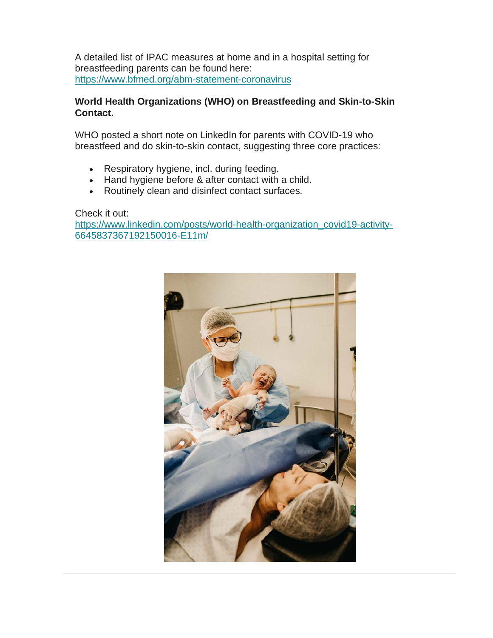A detailed list of IPAC measures at home and in a hospital setting for breastfeeding parents can be found here: <https://www.bfmed.org/abm-statement-coronavirus>

#### **World Health Organizations (WHO) on Breastfeeding and Skin-to-Skin Contact.**

WHO posted a short note on LinkedIn for parents with COVID-19 who breastfeed and do skin-to-skin contact, suggesting three core practices:

- Respiratory hygiene, incl. during feeding.
- Hand hygiene before & after contact with a child.
- Routinely clean and disinfect contact surfaces.

Check it out:

[https://www.linkedin.com/posts/world-health-organization\\_covid19-activity-](https://www.linkedin.com/posts/world-health-organization_covid19-activity-6645837367192150016-E11m/)[6645837367192150016-E11m/](https://www.linkedin.com/posts/world-health-organization_covid19-activity-6645837367192150016-E11m/)

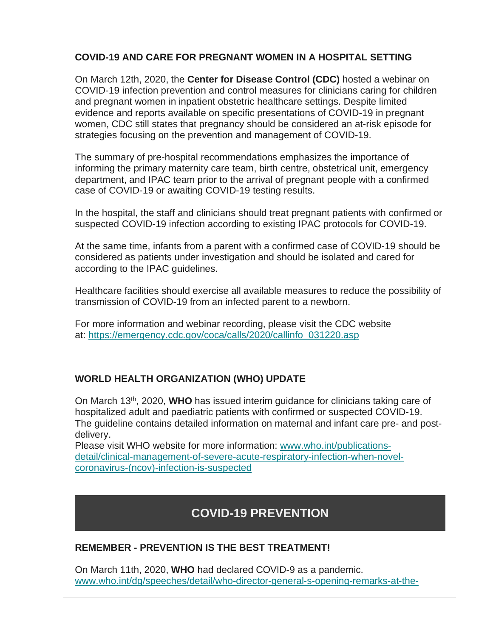### **COVID-19 AND CARE FOR PREGNANT WOMEN IN A HOSPITAL SETTING**

On March 12th, 2020, the **Center for Disease Control (CDC)** hosted a webinar on COVID-19 infection prevention and control measures for clinicians caring for children and pregnant women in inpatient obstetric healthcare settings. Despite limited evidence and reports available on specific presentations of COVID-19 in pregnant women, CDC still states that pregnancy should be considered an at-risk episode for strategies focusing on the prevention and management of COVID-19.

The summary of pre-hospital recommendations emphasizes the importance of informing the primary maternity care team, birth centre, obstetrical unit, emergency department, and IPAC team prior to the arrival of pregnant people with a confirmed case of COVID-19 or awaiting COVID-19 testing results.

In the hospital, the staff and clinicians should treat pregnant patients with confirmed or suspected COVID-19 infection according to existing IPAC protocols for COVID-19.

At the same time, infants from a parent with a confirmed case of COVID-19 should be considered as patients under investigation and should be isolated and cared for according to the IPAC guidelines.

Healthcare facilities should exercise all available measures to reduce the possibility of transmission of COVID-19 from an infected parent to a newborn.

For more information and webinar recording, please visit the CDC website at: [https://emergency.cdc.gov/coca/calls/2020/callinfo\\_031220.asp](https://emergency.cdc.gov/coca/calls/2020/callinfo_031220.asp)

### **WORLD HEALTH ORGANIZATION (WHO) UPDATE**

On March 13th, 2020, **WHO** has issued interim guidance for clinicians taking care of hospitalized adult and paediatric patients with confirmed or suspected COVID-19. The guideline contains detailed information on maternal and infant care pre- and postdelivery.

Please visit WHO website for more information: [www.who.int/publications](http://www.who.int/publications-detail/clinical-management-of-severe-acute-respiratory-infection-when-novel-coronavirus-(ncov)-infection-is-suspected)[detail/clinical-management-of-severe-acute-respiratory-infection-when-novel](http://www.who.int/publications-detail/clinical-management-of-severe-acute-respiratory-infection-when-novel-coronavirus-(ncov)-infection-is-suspected)[coronavirus-\(ncov\)-infection-is-suspected](http://www.who.int/publications-detail/clinical-management-of-severe-acute-respiratory-infection-when-novel-coronavirus-(ncov)-infection-is-suspected)

# **COVID-19 PREVENTION**

### **REMEMBER - PREVENTION IS THE BEST TREATMENT!**

On March 11th, 2020, **WHO** had declared COVID-9 as a pandemic. [www.who.int/dg/speeches/detail/who-director-general-s-opening-remarks-at-the-](http://www.who.int/dg/speeches/detail/who-director-general-s-opening-remarks-at-the-media-briefing-on-covid-19---11-march-2020)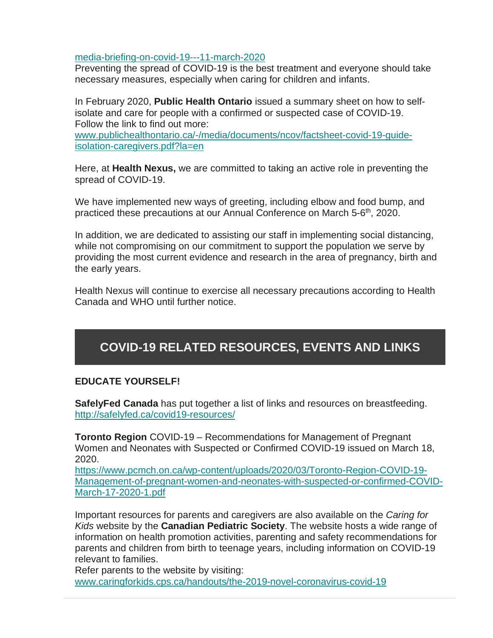[media-briefing-on-covid-19---11-march-2020](http://www.who.int/dg/speeches/detail/who-director-general-s-opening-remarks-at-the-media-briefing-on-covid-19---11-march-2020)

Preventing the spread of COVID-19 is the best treatment and everyone should take necessary measures, especially when caring for children and infants.

In February 2020, **Public Health Ontario** issued a summary sheet on how to selfisolate and care for people with a confirmed or suspected case of COVID-19. Follow the link to find out more:

[www.publichealthontario.ca/-/media/documents/ncov/factsheet-covid-19-guide](http://www.publichealthontario.ca/-/media/documents/ncov/factsheet-covid-19-guide-isolation-caregivers.pdf?la=en)[isolation-caregivers.pdf?la=en](http://www.publichealthontario.ca/-/media/documents/ncov/factsheet-covid-19-guide-isolation-caregivers.pdf?la=en)

Here, at **Health Nexus,** we are committed to taking an active role in preventing the spread of COVID-19.

We have implemented new ways of greeting, including elbow and food bump, and practiced these precautions at our Annual Conference on March 5-6<sup>th</sup>, 2020.

In addition, we are dedicated to assisting our staff in implementing social distancing, while not compromising on our commitment to support the population we serve by providing the most current evidence and research in the area of pregnancy, birth and the early years.

Health Nexus will continue to exercise all necessary precautions according to Health Canada and WHO until further notice.

# **COVID-19 RELATED RESOURCES, EVENTS AND LINKS**

#### **EDUCATE YOURSELF!**

**SafelyFed Canada** has put together a list of links and resources on breastfeeding. <http://safelyfed.ca/covid19-resources/>

**Toronto Region** COVID-19 – Recommendations for Management of Pregnant Women and Neonates with Suspected or Confirmed COVID-19 issued on March 18, 2020.

[https://www.pcmch.on.ca/wp-content/uploads/2020/03/Toronto-Region-COVID-19-](https://www.pcmch.on.ca/wp-content/uploads/2020/03/Toronto-Region-COVID-19-Management-of-pregnant-women-and-neonates-with-suspected-or-confirmed-COVID-March-17-2020-1.pdf) [Management-of-pregnant-women-and-neonates-with-suspected-or-confirmed-COVID-](https://www.pcmch.on.ca/wp-content/uploads/2020/03/Toronto-Region-COVID-19-Management-of-pregnant-women-and-neonates-with-suspected-or-confirmed-COVID-March-17-2020-1.pdf)[March-17-2020-1.pdf](https://www.pcmch.on.ca/wp-content/uploads/2020/03/Toronto-Region-COVID-19-Management-of-pregnant-women-and-neonates-with-suspected-or-confirmed-COVID-March-17-2020-1.pdf)

Important resources for parents and caregivers are also available on the *Caring for Kids* website by the **Canadian Pediatric Society**. The website hosts a wide range of information on health promotion activities, parenting and safety recommendations for parents and children from birth to teenage years, including information on COVID-19 relevant to families.

Refer parents to the website by visiting: [www.caringforkids.cps.ca/handouts/the-2019-novel-coronavirus-covid-19](https://www.caringforkids.cps.ca/handouts/the-2019-novel-coronavirus-covid-19)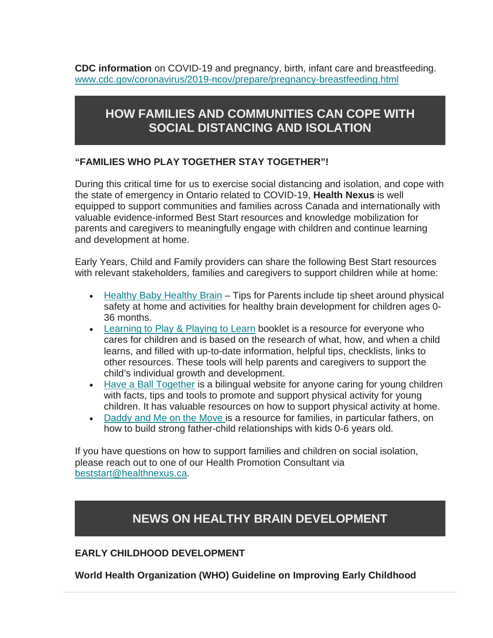**CDC information** on COVID-19 and pregnancy, birth, infant care and breastfeeding. [www.cdc.gov/coronavirus/2019-ncov/prepare/pregnancy-breastfeeding.html](http://www.cdc.gov/coronavirus/2019-ncov/prepare/pregnancy-breastfeeding.html)

# **HOW FAMILIES AND COMMUNITIES CAN COPE WITH SOCIAL DISTANCING AND ISOLATION**

### **"FAMILIES WHO PLAY TOGETHER STAY TOGETHER"!**

During this critical time for us to exercise social distancing and isolation, and cope with the state of emergency in Ontario related to COVID-19, **Health Nexus** is well equipped to support communities and families across Canada and internationally with valuable evidence-informed Best Start resources and knowledge mobilization for parents and caregivers to meaningfully engage with children and continue learning and development at home.

Early Years, Child and Family providers can share the following Best Start resources with relevant stakeholders, families and caregivers to support children while at home:

- Healthy Baby [Healthy Brain](https://resources.beststart.org/product/k99b-healthy-baby-healthy-brain-website/) Tips for Parents include tip sheet around physical safety at home and activities for healthy brain development for children ages 0- 36 months.
- [Learning to Play & Playing to Learn](https://resources.beststart.org/wp-content/uploads/2019/01/K27-E_LearningToPlay_EN_2020.pdf) booklet is a resource for everyone who cares for children and is based on the research of what, how, and when a child learns, and filled with up-to-date information, helpful tips, checklists, links to other resources. These tools will help parents and caregivers to support the child's individual growth and development.
- Have [a Ball Together](https://haveaballtogether.ca/) is a bilingual website for anyone caring for young children with facts, tips and tools to promote and support physical activity for young children. It has valuable resources on how to support physical activity at home.
- [Daddy and Me on the Move](https://resources.beststart.org/wp-content/uploads/2019/01/K57-E.pdf) is a resource for families, in particular fathers, on how to build strong father-child relationships with kids 0-6 years old.

If you have questions on how to support families and children on social isolation, please reach out to one of our Health Promotion Consultant via [beststart@healthnexus.ca.](mailto:beststart@healthnexus.ca)

# **NEWS ON HEALTHY BRAIN DEVELOPMENT**

#### **EARLY CHILDHOOD DEVELOPMENT**

**World Health Organization (WHO) Guideline on Improving Early Childhood**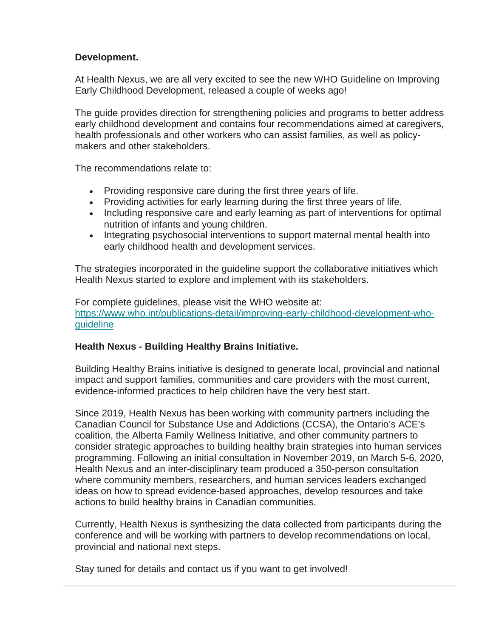#### **Development.**

At Health Nexus, we are all very excited to see the new WHO Guideline on Improving Early Childhood Development, released a couple of weeks ago!

The guide provides direction for strengthening policies and programs to better address early childhood development and contains four recommendations aimed at caregivers, health professionals and other workers who can assist families, as well as policymakers and other stakeholders.

The recommendations relate to:

- Providing responsive care during the first three years of life.
- Providing activities for early learning during the first three years of life.
- Including responsive care and early learning as part of interventions for optimal nutrition of infants and young children.
- Integrating psychosocial interventions to support maternal mental health into early childhood health and development services.

The strategies incorporated in the guideline support the collaborative initiatives which Health Nexus started to explore and implement with its stakeholders.

For complete guidelines, please visit the WHO website at: [https://www.who.int/publications-detail/improving-early-childhood-development-who](https://www.who.int/publications-detail/improving-early-childhood-development-who-guideline)[guideline](https://www.who.int/publications-detail/improving-early-childhood-development-who-guideline)

#### **Health Nexus - Building Healthy Brains Initiative.**

Building Healthy Brains initiative is designed to generate local, provincial and national impact and support families, communities and care providers with the most current, evidence-informed practices to help children have the very best start.

Since 2019, Health Nexus has been working with community partners including the Canadian Council for Substance Use and Addictions (CCSA), the Ontario's ACE's coalition, the Alberta Family Wellness Initiative, and other community partners to consider strategic approaches to building healthy brain strategies into human services programming. Following an initial consultation in November 2019, on March 5-6, 2020, Health Nexus and an inter-disciplinary team produced a 350-person consultation where community members, researchers, and human services leaders exchanged ideas on how to spread evidence-based approaches, develop resources and take actions to build healthy brains in Canadian communities.

Currently, Health Nexus is synthesizing the data collected from participants during the conference and will be working with partners to develop recommendations on local, provincial and national next steps.

Stay tuned for details and contact us if you want to get involved!